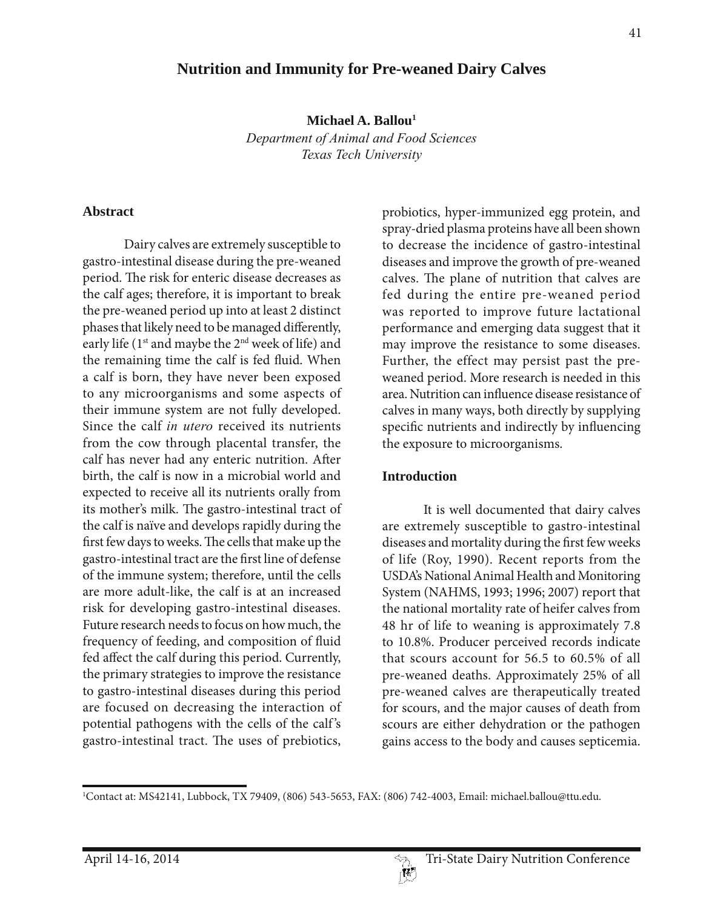# **Nutrition and Immunity for Pre-weaned Dairy Calves**

**Michael A. Ballou1**

*Department of Animal and Food Sciences Texas Tech University*

#### **Abstract**

Dairy calves are extremely susceptible to gastro-intestinal disease during the pre-weaned period. The risk for enteric disease decreases as the calf ages; therefore, it is important to break the pre-weaned period up into at least 2 distinct phases that likely need to be managed differently, early life (1<sup>st</sup> and maybe the 2<sup>nd</sup> week of life) and the remaining time the calf is fed fluid. When a calf is born, they have never been exposed to any microorganisms and some aspects of their immune system are not fully developed. Since the calf *in utero* received its nutrients from the cow through placental transfer, the calf has never had any enteric nutrition. After birth, the calf is now in a microbial world and expected to receive all its nutrients orally from its mother's milk. The gastro-intestinal tract of the calf is naïve and develops rapidly during the first few days to weeks. The cells that make up the gastro-intestinal tract are the first line of defense of the immune system; therefore, until the cells are more adult-like, the calf is at an increased risk for developing gastro-intestinal diseases. Future research needs to focus on how much, the frequency of feeding, and composition of fluid fed affect the calf during this period. Currently, the primary strategies to improve the resistance to gastro-intestinal diseases during this period are focused on decreasing the interaction of potential pathogens with the cells of the calf 's gastro-intestinal tract. The uses of prebiotics,

probiotics, hyper-immunized egg protein, and spray-dried plasma proteins have all been shown to decrease the incidence of gastro-intestinal diseases and improve the growth of pre-weaned calves. The plane of nutrition that calves are fed during the entire pre-weaned period was reported to improve future lactational performance and emerging data suggest that it may improve the resistance to some diseases. Further, the effect may persist past the preweaned period. More research is needed in this area. Nutrition can influence disease resistance of calves in many ways, both directly by supplying specific nutrients and indirectly by influencing the exposure to microorganisms.

#### **Introduction**

It is well documented that dairy calves are extremely susceptible to gastro-intestinal diseases and mortality during the first few weeks of life (Roy, 1990). Recent reports from the USDA's National Animal Health and Monitoring System (NAHMS, 1993; 1996; 2007) report that the national mortality rate of heifer calves from 48 hr of life to weaning is approximately 7.8 to 10.8%. Producer perceived records indicate that scours account for 56.5 to 60.5% of all pre-weaned deaths. Approximately 25% of all pre-weaned calves are therapeutically treated for scours, and the major causes of death from scours are either dehydration or the pathogen gains access to the body and causes septicemia.

<sup>&</sup>lt;sup>1</sup>Contact at: MS42141, Lubbock, TX 79409, (806) 543-5653, FAX: (806) 742-4003, Email: michael.ballou@ttu.edu.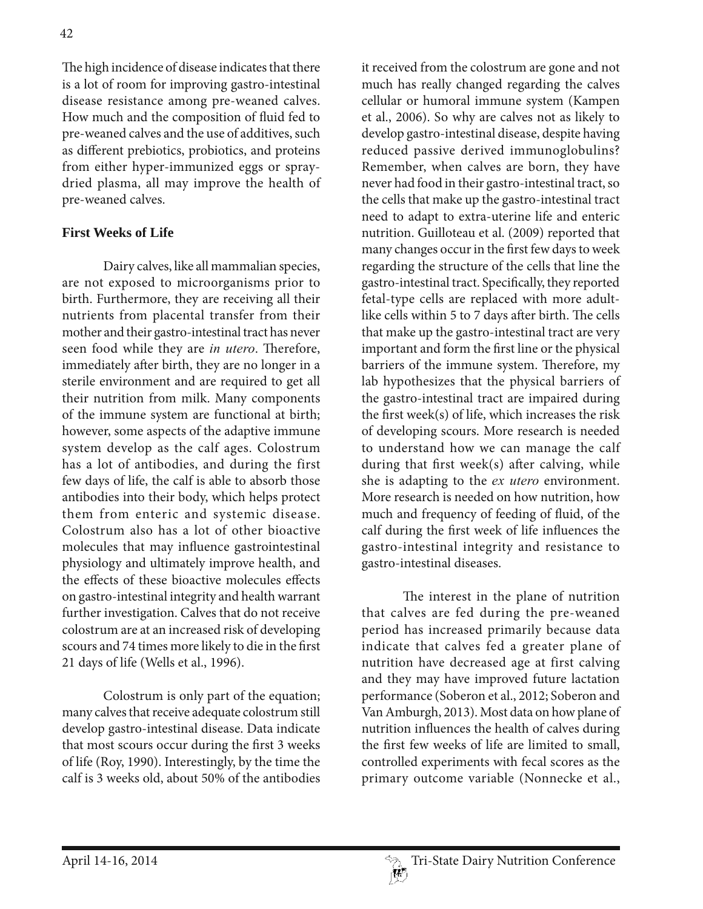The high incidence of disease indicates that there is a lot of room for improving gastro-intestinal disease resistance among pre-weaned calves. How much and the composition of fluid fed to pre-weaned calves and the use of additives, such as different prebiotics, probiotics, and proteins from either hyper-immunized eggs or spraydried plasma, all may improve the health of pre-weaned calves.

## **First Weeks of Life**

Dairy calves, like all mammalian species, are not exposed to microorganisms prior to birth. Furthermore, they are receiving all their nutrients from placental transfer from their mother and their gastro-intestinal tract has never seen food while they are *in utero*. Therefore, immediately after birth, they are no longer in a sterile environment and are required to get all their nutrition from milk. Many components of the immune system are functional at birth; however, some aspects of the adaptive immune system develop as the calf ages. Colostrum has a lot of antibodies, and during the first few days of life, the calf is able to absorb those antibodies into their body, which helps protect them from enteric and systemic disease. Colostrum also has a lot of other bioactive molecules that may influence gastrointestinal physiology and ultimately improve health, and the effects of these bioactive molecules effects on gastro-intestinal integrity and health warrant further investigation. Calves that do not receive colostrum are at an increased risk of developing scours and 74 times more likely to die in the first 21 days of life (Wells et al., 1996).

Colostrum is only part of the equation; many calves that receive adequate colostrum still develop gastro-intestinal disease. Data indicate that most scours occur during the first 3 weeks of life (Roy, 1990). Interestingly, by the time the calf is 3 weeks old, about 50% of the antibodies

it received from the colostrum are gone and not much has really changed regarding the calves cellular or humoral immune system (Kampen et al., 2006). So why are calves not as likely to develop gastro-intestinal disease, despite having reduced passive derived immunoglobulins? Remember, when calves are born, they have never had food in their gastro-intestinal tract, so the cells that make up the gastro-intestinal tract need to adapt to extra-uterine life and enteric nutrition. Guilloteau et al. (2009) reported that many changes occur in the first few days to week regarding the structure of the cells that line the gastro-intestinal tract. Specifically, they reported fetal-type cells are replaced with more adultlike cells within 5 to 7 days after birth. The cells that make up the gastro-intestinal tract are very important and form the first line or the physical barriers of the immune system. Therefore, my lab hypothesizes that the physical barriers of the gastro-intestinal tract are impaired during the first week(s) of life, which increases the risk of developing scours. More research is needed to understand how we can manage the calf during that first week(s) after calving, while she is adapting to the *ex utero* environment. More research is needed on how nutrition, how much and frequency of feeding of fluid, of the calf during the first week of life influences the gastro-intestinal integrity and resistance to gastro-intestinal diseases.

The interest in the plane of nutrition that calves are fed during the pre-weaned period has increased primarily because data indicate that calves fed a greater plane of nutrition have decreased age at first calving and they may have improved future lactation performance (Soberon et al., 2012; Soberon and Van Amburgh, 2013). Most data on how plane of nutrition influences the health of calves during the first few weeks of life are limited to small, controlled experiments with fecal scores as the primary outcome variable (Nonnecke et al.,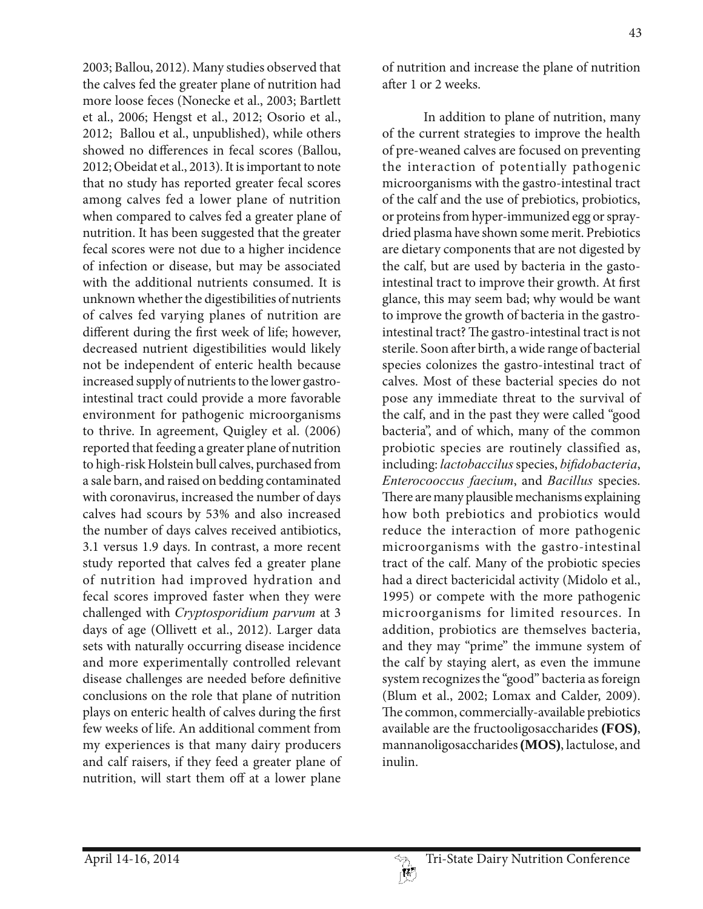2003; Ballou, 2012). Many studies observed that the calves fed the greater plane of nutrition had more loose feces (Nonecke et al., 2003; Bartlett et al., 2006; Hengst et al., 2012; Osorio et al., 2012; Ballou et al., unpublished), while others showed no differences in fecal scores (Ballou, 2012; Obeidat et al., 2013). It is important to note that no study has reported greater fecal scores among calves fed a lower plane of nutrition when compared to calves fed a greater plane of nutrition. It has been suggested that the greater fecal scores were not due to a higher incidence of infection or disease, but may be associated with the additional nutrients consumed. It is unknown whether the digestibilities of nutrients of calves fed varying planes of nutrition are different during the first week of life; however, decreased nutrient digestibilities would likely not be independent of enteric health because increased supply of nutrients to the lower gastrointestinal tract could provide a more favorable environment for pathogenic microorganisms to thrive. In agreement, Quigley et al. (2006) reported that feeding a greater plane of nutrition to high-risk Holstein bull calves, purchased from a sale barn, and raised on bedding contaminated with coronavirus, increased the number of days calves had scours by 53% and also increased the number of days calves received antibiotics, 3.1 versus 1.9 days. In contrast, a more recent study reported that calves fed a greater plane of nutrition had improved hydration and fecal scores improved faster when they were challenged with *Cryptosporidium parvum* at 3 days of age (Ollivett et al., 2012). Larger data sets with naturally occurring disease incidence and more experimentally controlled relevant disease challenges are needed before definitive conclusions on the role that plane of nutrition plays on enteric health of calves during the first few weeks of life. An additional comment from my experiences is that many dairy producers and calf raisers, if they feed a greater plane of nutrition, will start them off at a lower plane

of nutrition and increase the plane of nutrition after 1 or 2 weeks.

In addition to plane of nutrition, many of the current strategies to improve the health of pre-weaned calves are focused on preventing the interaction of potentially pathogenic microorganisms with the gastro-intestinal tract of the calf and the use of prebiotics, probiotics, or proteins from hyper-immunized egg or spraydried plasma have shown some merit. Prebiotics are dietary components that are not digested by the calf, but are used by bacteria in the gastointestinal tract to improve their growth. At first glance, this may seem bad; why would be want to improve the growth of bacteria in the gastrointestinal tract? The gastro-intestinal tract is not sterile. Soon after birth, a wide range of bacterial species colonizes the gastro-intestinal tract of calves. Most of these bacterial species do not pose any immediate threat to the survival of the calf, and in the past they were called "good bacteria", and of which, many of the common probiotic species are routinely classified as, including: *lactobaccilus* species, *bi¿dobacteria*, *Enterocooccus faecium*, and *Bacillus* species. There are many plausible mechanisms explaining how both prebiotics and probiotics would reduce the interaction of more pathogenic microorganisms with the gastro-intestinal tract of the calf. Many of the probiotic species had a direct bactericidal activity (Midolo et al., 1995) or compete with the more pathogenic microorganisms for limited resources. In addition, probiotics are themselves bacteria, and they may "prime" the immune system of the calf by staying alert, as even the immune system recognizes the "good" bacteria as foreign (Blum et al., 2002; Lomax and Calder, 2009). The common, commercially-available prebiotics available are the fructooligosaccharides **(FOS)**, mannanoligosaccharides **(MOS)**, lactulose, and inulin.

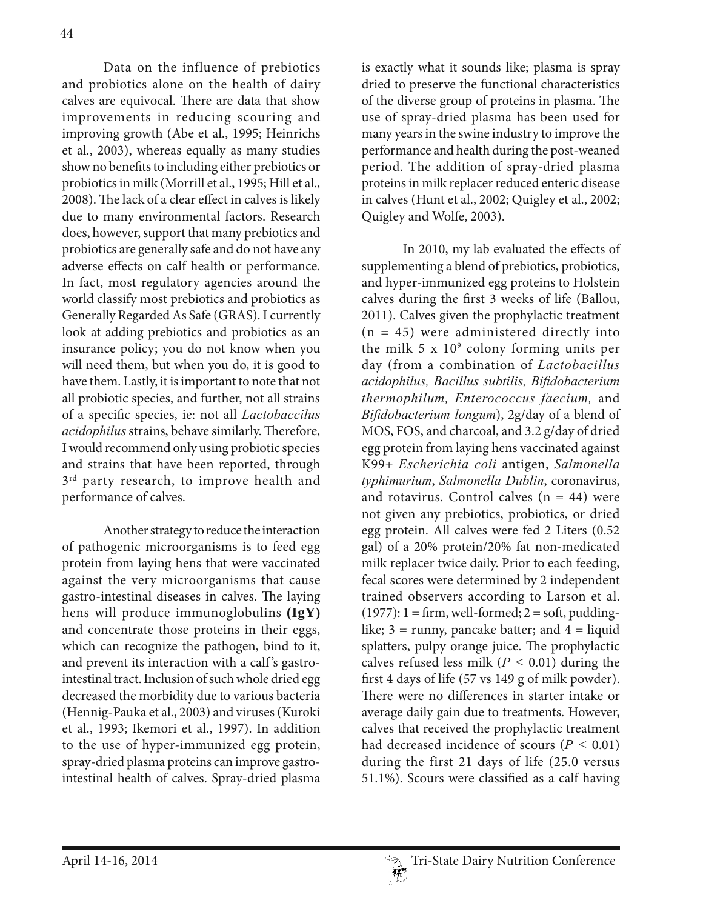Data on the influence of prebiotics and probiotics alone on the health of dairy calves are equivocal. There are data that show improvements in reducing scouring and improving growth (Abe et al., 1995; Heinrichs et al., 2003), whereas equally as many studies show no benefits to including either prebiotics or probiotics in milk (Morrill et al., 1995; Hill et al., 2008). The lack of a clear effect in calves is likely due to many environmental factors. Research does, however, support that many prebiotics and probiotics are generally safe and do not have any adverse effects on calf health or performance. In fact, most regulatory agencies around the world classify most prebiotics and probiotics as Generally Regarded As Safe (GRAS). I currently look at adding prebiotics and probiotics as an insurance policy; you do not know when you will need them, but when you do, it is good to have them. Lastly, it is important to note that not all probiotic species, and further, not all strains of a specific species, ie: not all *Lactobaccilus acidophilus* strains, behave similarly. Therefore, I would recommend only using probiotic species and strains that have been reported, through  $3^{rd}$  party research, to improve health and performance of calves.

Another strategy to reduce the interaction of pathogenic microorganisms is to feed egg protein from laying hens that were vaccinated against the very microorganisms that cause gastro-intestinal diseases in calves. The laying hens will produce immunoglobulins **(IgY)** and concentrate those proteins in their eggs, which can recognize the pathogen, bind to it, and prevent its interaction with a calf 's gastrointestinal tract. Inclusion of such whole dried egg decreased the morbidity due to various bacteria (Hennig-Pauka et al., 2003) and viruses (Kuroki et al., 1993; Ikemori et al., 1997). In addition to the use of hyper-immunized egg protein, spray-dried plasma proteins can improve gastrointestinal health of calves. Spray-dried plasma

is exactly what it sounds like; plasma is spray dried to preserve the functional characteristics of the diverse group of proteins in plasma. The use of spray-dried plasma has been used for many years in the swine industry to improve the performance and health during the post-weaned period. The addition of spray-dried plasma proteins in milk replacer reduced enteric disease in calves (Hunt et al., 2002; Quigley et al., 2002; Quigley and Wolfe, 2003).

In 2010, my lab evaluated the effects of supplementing a blend of prebiotics, probiotics, and hyper-immunized egg proteins to Holstein calves during the first 3 weeks of life (Ballou, 2011). Calves given the prophylactic treatment  $(n = 45)$  were administered directly into the milk  $5 \times 10^9$  colony forming units per day (from a combination of *Lactobacillus acidophilus Bacillus subtilis Bi¿dobacterium thermophilum, Enterococcus faecium,* and *Bifidobacterium longum*), 2g/day of a blend of MOS, FOS, and charcoal, and 3.2 g/day of dried egg protein from laying hens vaccinated against K99+ *Escherichia coli* antigen, *Salmonella typhimurium*, *Salmonella Dublin*, coronavirus, and rotavirus. Control calves  $(n = 44)$  were not given any prebiotics, probiotics, or dried egg protein. All calves were fed 2 Liters (0.52) gal) of a 20% protein/20% fat non-medicated milk replacer twice daily. Prior to each feeding, fecal scores were determined by 2 independent trained observers according to Larson et al.  $(1977): 1 = firm, well-formed; 2 = soft, padding$ like;  $3 =$  runny, pancake batter; and  $4 =$  liquid splatters, pulpy orange juice. The prophylactic calves refused less milk (*P <* 0.01) during the first 4 days of life (57 vs 149 g of milk powder). There were no differences in starter intake or average daily gain due to treatments. However, calves that received the prophylactic treatment had decreased incidence of scours (*P <* 0.01) during the first 21 days of life (25.0 versus 51.1%). Scours were classified as a calf having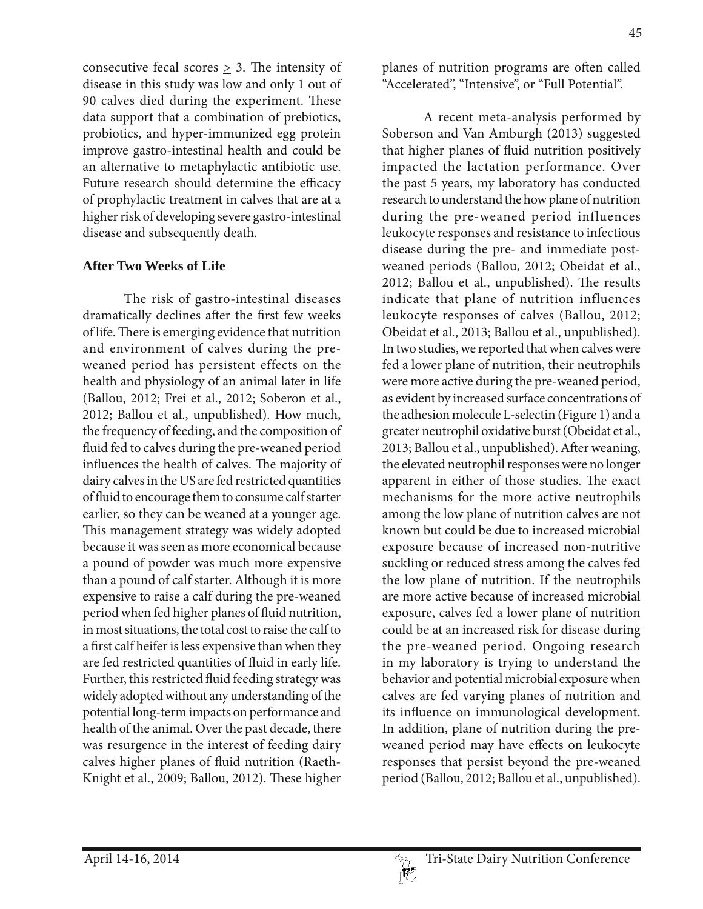consecutive fecal scores  $\geq$  3. The intensity of disease in this study was low and only 1 out of 90 calves died during the experiment. These data support that a combination of prebiotics, probiotics, and hyper-immunized egg protein improve gastro-intestinal health and could be an alternative to metaphylactic antibiotic use. Future research should determine the efficacy of prophylactic treatment in calves that are at a higher risk of developing severe gastro-intestinal disease and subsequently death.

## **After Two Weeks of Life**

The risk of gastro-intestinal diseases dramatically declines after the first few weeks of life. There is emerging evidence that nutrition and environment of calves during the preweaned period has persistent effects on the health and physiology of an animal later in life (Ballou, 2012; Frei et al., 2012; Soberon et al., 2012; Ballou et al., unpublished). How much, the frequency of feeding, and the composition of fluid fed to calves during the pre-weaned period influences the health of calves. The majority of dairy calves in the US are fed restricted quantities of fluid to encourage them to consume calf starter earlier, so they can be weaned at a younger age. This management strategy was widely adopted because it was seen as more economical because a pound of powder was much more expensive than a pound of calf starter. Although it is more expensive to raise a calf during the pre-weaned period when fed higher planes of fluid nutrition, in most situations, the total cost to raise the calf to a first calf heifer is less expensive than when they are fed restricted quantities of fluid in early life. Further, this restricted fluid feeding strategy was widely adopted without any understanding of the potential long-term impacts on performance and health of the animal. Over the past decade, there was resurgence in the interest of feeding dairy calves higher planes of fluid nutrition (Raeth-Knight et al., 2009; Ballou, 2012). These higher

planes of nutrition programs are often called "Accelerated", "Intensive", or "Full Potential".

A recent meta-analysis performed by Soberson and Van Amburgh (2013) suggested that higher planes of fluid nutrition positively impacted the lactation performance. Over the past 5 years, my laboratory has conducted research to understand the how plane of nutrition during the pre-weaned period influences leukocyte responses and resistance to infectious disease during the pre- and immediate postweaned periods (Ballou, 2012; Obeidat et al., 2012; Ballou et al., unpublished). The results indicate that plane of nutrition influences leukocyte responses of calves (Ballou, 2012; Obeidat et al., 2013; Ballou et al., unpublished). In two studies, we reported that when calves were fed a lower plane of nutrition, their neutrophils were more active during the pre-weaned period, as evident by increased surface concentrations of the adhesion molecule L-selectin (Figure 1) and a greater neutrophil oxidative burst (Obeidat et al., 2013; Ballou et al., unpublished). After weaning, the elevated neutrophil responses were no longer apparent in either of those studies. The exact mechanisms for the more active neutrophils among the low plane of nutrition calves are not known but could be due to increased microbial exposure because of increased non-nutritive suckling or reduced stress among the calves fed the low plane of nutrition. If the neutrophils are more active because of increased microbial exposure, calves fed a lower plane of nutrition could be at an increased risk for disease during the pre-weaned period. Ongoing research in my laboratory is trying to understand the behavior and potential microbial exposure when calves are fed varying planes of nutrition and its influence on immunological development. In addition, plane of nutrition during the preweaned period may have effects on leukocyte responses that persist beyond the pre-weaned period (Ballou, 2012; Ballou et al., unpublished).

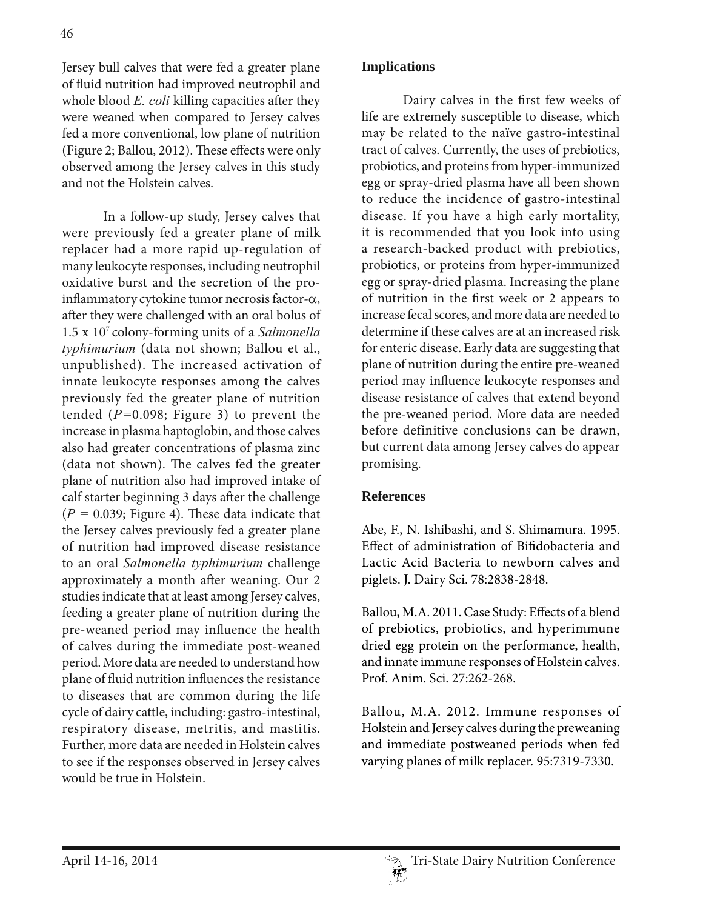Jersey bull calves that were fed a greater plane of fluid nutrition had improved neutrophil and whole blood *E. coli* killing capacities after they were weaned when compared to Jersey calves fed a more conventional, low plane of nutrition (Figure 2; Ballou, 2012). These effects were only observed among the Jersey calves in this study and not the Holstein calves.

In a follow-up study, Jersey calves that were previously fed a greater plane of milk replacer had a more rapid up-regulation of many leukocyte responses, including neutrophil oxidative burst and the secretion of the proinflammatory cytokine tumor necrosis factor- $\alpha$ , after they were challenged with an oral bolus of 1.5 x 107 colony-forming units of a *Salmonella typhimurium* (data not shown; Ballou et al., unpublished). The increased activation of innate leukocyte responses among the calves previously fed the greater plane of nutrition tended (*P=*0.098; Figure 3) to prevent the increase in plasma haptoglobin, and those calves also had greater concentrations of plasma zinc (data not shown). The calves fed the greater plane of nutrition also had improved intake of calf starter beginning 3 days after the challenge (*P =* 0.039; Figure 4). These data indicate that the Jersey calves previously fed a greater plane of nutrition had improved disease resistance to an oral *Salmonella typhimurium* challenge approximately a month after weaning. Our 2 studies indicate that at least among Jersey calves, feeding a greater plane of nutrition during the pre-weaned period may influence the health of calves during the immediate post-weaned period. More data are needed to understand how plane of fluid nutrition influences the resistance to diseases that are common during the life cycle of dairy cattle, including: gastro-intestinal, respiratory disease, metritis, and mastitis. Further, more data are needed in Holstein calves to see if the responses observed in Jersey calves would be true in Holstein.

# **Implications**

Dairy calves in the first few weeks of life are extremely susceptible to disease, which may be related to the naïve gastro-intestinal tract of calves. Currently, the uses of prebiotics, probiotics, and proteins from hyper-immunized egg or spray-dried plasma have all been shown to reduce the incidence of gastro-intestinal disease. If you have a high early mortality, it is recommended that you look into using a research-backed product with prebiotics, probiotics, or proteins from hyper-immunized egg or spray-dried plasma. Increasing the plane of nutrition in the first week or 2 appears to increase fecal scores, and more data are needed to determine if these calves are at an increased risk for enteric disease. Early data are suggesting that plane of nutrition during the entire pre-weaned period may influence leukocyte responses and disease resistance of calves that extend beyond the pre-weaned period. More data are needed before definitive conclusions can be drawn, but current data among Jersey calves do appear promising.

# **References**

Abe, F., N. Ishibashi, and S. Shimamura. 1995. Effect of administration of Bifidobacteria and Lactic Acid Bacteria to newborn calves and piglets. J. Dairy Sci. 78:2838-2848.

Ballou, M.A. 2011. Case Study: Effects of a blend of prebiotics, probiotics, and hyperimmune dried egg protein on the performance, health, and innate immune responses of Holstein calves. Prof. Anim. Sci. 27:262-268.

Ballou, M.A. 2012. Immune responses of Holstein and Jersey calves during the preweaning and immediate postweaned periods when fed varying planes of milk replacer. 95:7319-7330.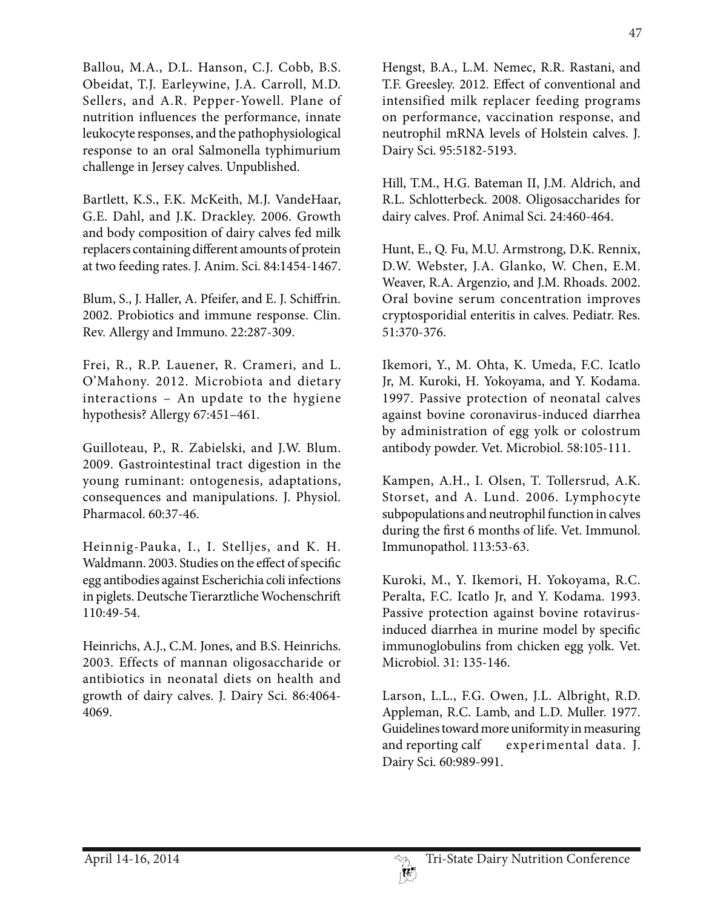Ballou, M.A., D.L. Hanson, C.J. Cobb, B.S. Obeidat, T.J. Earleywine, J.A. Carroll, M.D. Sellers, and A.R. Pepper-Yowell. Plane of nutrition influences the performance, innate leukocyte responses, and the pathophysiological response to an oral Salmonella typhimurium challenge in Jersey calves. Unpublished.

Bartlett, K.S., F.K. McKeith, M.J. VandeHaar, G.E. Dahl, and J.K. Drackley. 2006. Growth and body composition of dairy calves fed milk replacers containing different amounts of protein at two feeding rates. J. Anim. Sci. 84:1454-1467.

Blum, S., J. Haller, A. Pfeifer, and E. J. Schiffrin. 2002. Probiotics and immune response. Clin. Rev. Allergy and Immuno. 22:287-309.

Frei, R., R.P. Lauener, R. Crameri, and L. O'Mahony. 2012. Microbiota and dietary interactions – An update to the hygiene hypothesis? Allergy 67:451–461.

Guilloteau, P., R. Zabielski, and J.W. Blum. 2009. Gastrointestinal tract digestion in the young ruminant: ontogenesis, adaptations, consequences and manipulations. J. Physiol. Pharmacol. 60:37-46.

Heinnig-Pauka, I., I. Stelljes, and K. H. Waldmann. 2003. Studies on the effect of specific egg antibodies against Escherichia coli infections in piglets. Deutsche Tierarztliche Wochenschrift 110:49-54.

Heinrichs, A.J., C.M. Jones, and B.S. Heinrichs. 2003. Effects of mannan oligosaccharide or antibiotics in neonatal diets on health and growth of dairy calves. J. Dairy Sci. 86:4064- 4069.

Hengst, B.A., L.M. Nemec, R.R. Rastani, and T.F. Greesley. 2012. Effect of conventional and intensified milk replacer feeding programs on performance, vaccination response, and neutrophil mRNA levels of Holstein calves. J. Dairy Sci. 95:5182-5193.

Hill, T.M., H.G. Bateman II, J.M. Aldrich, and R.L. Schlotterbeck. 2008. Oligosaccharides for dairy calves. Prof. Animal Sci. 24:460-464.

Hunt, E., Q. Fu, M.U. Armstrong, D.K. Rennix, D.W. Webster, J.A. Glanko, W. Chen, E.M. Weaver, R.A. Argenzio, and J.M. Rhoads. 2002. Oral bovine serum concentration improves cryptosporidial enteritis in calves. Pediatr. Res. 51:370-376.

Ikemori, Y., M. Ohta, K. Umeda, F.C. Icatlo Jr, M. Kuroki, H. Yokoyama, and Y. Kodama. 1997. Passive protection of neonatal calves against bovine coronavirus-induced diarrhea by administration of egg yolk or colostrum antibody powder. Vet. Microbiol. 58:105-111.

Kampen, A.H., I. Olsen, T. Tollersrud, A.K. Storset, and A. Lund. 2006. Lymphocyte subpopulations and neutrophil function in calves during the first 6 months of life. Vet. Immunol. Immunopathol. 113:53-63.

Kuroki, M., Y. Ikemori, H. Yokoyama, R.C. Peralta, F.C. Icatlo Jr, and Y. Kodama. 1993. Passive protection against bovine rotavirusinduced diarrhea in murine model by specific immunoglobulins from chicken egg yolk. Vet. Microbiol. 31: 135-146.

Larson, L.L., F.G. Owen, J.L. Albright, R.D. Appleman, R.C. Lamb, and L.D. Muller. 1977. Guidelines toward more uniformity in measuring and reporting calf experimental data. J. Dairy Sci. 60:989-991.

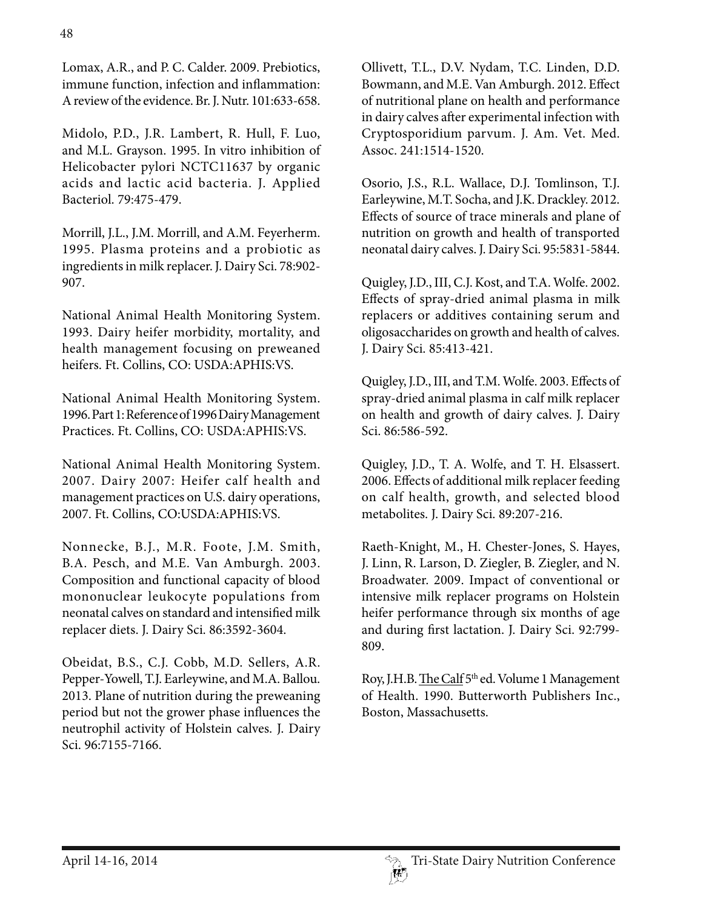Midolo, P.D., J.R. Lambert, R. Hull, F. Luo, and M.L. Grayson. 1995. In vitro inhibition of Helicobacter pylori NCTC11637 by organic acids and lactic acid bacteria. J. Applied Bacteriol. 79:475-479.

Morrill, J.L., J.M. Morrill, and A.M. Feyerherm. 1995. Plasma proteins and a probiotic as ingredients in milk replacer. J. Dairy Sci. 78:902- 907.

National Animal Health Monitoring System. 1993. Dairy heifer morbidity, mortality, and health management focusing on preweaned heifers. Ft. Collins, CO: USDA:APHIS:VS.

National Animal Health Monitoring System. 1996. Part 1: Reference of 1996 Dairy Management Practices. Ft. Collins, CO: USDA:APHIS:VS.

National Animal Health Monitoring System. 2007. Dairy 2007: Heifer calf health and management practices on U.S. dairy operations, 2007. Ft. Collins, CO:USDA:APHIS:VS.

Nonnecke, B.J., M.R. Foote, J.M. Smith, B.A. Pesch, and M.E. Van Amburgh. 2003. Composition and functional capacity of blood mononuclear leukocyte populations from neonatal calves on standard and intensified milk replacer diets. J. Dairy Sci. 86:3592-3604.

Obeidat, B.S., C.J. Cobb, M.D. Sellers, A.R. Pepper-Yowell, T.J. Earleywine, and M.A. Ballou. 2013. Plane of nutrition during the preweaning period but not the grower phase influences the neutrophil activity of Holstein calves. J. Dairy Sci. 96:7155-7166.

Ollivett, T.L., D.V. Nydam, T.C. Linden, D.D. Bowmann, and M.E. Van Amburgh. 2012. Effect of nutritional plane on health and performance in dairy calves after experimental infection with Cryptosporidium parvum. J. Am. Vet. Med. Assoc. 241:1514-1520.

Osorio, J.S., R.L. Wallace, D.J. Tomlinson, T.J. Earleywine, M.T. Socha, and J.K. Drackley. 2012. Effects of source of trace minerals and plane of nutrition on growth and health of transported neonatal dairy calves. J. Dairy Sci. 95:5831-5844.

Quigley, J.D., III, C.J. Kost, and T.A. Wolfe. 2002. Effects of spray-dried animal plasma in milk replacers or additives containing serum and oligosaccharides on growth and health of calves. J. Dairy Sci. 85:413-421.

Quigley, J.D., III, and T.M. Wolfe. 2003. Effects of spray-dried animal plasma in calf milk replacer on health and growth of dairy calves. J. Dairy Sci. 86:586-592.

Quigley, J.D., T. A. Wolfe, and T. H. Elsassert. 2006. Effects of additional milk replacer feeding on calf health, growth, and selected blood metabolites. J. Dairy Sci. 89:207-216.

Raeth-Knight, M., H. Chester-Jones, S. Hayes, J. Linn, R. Larson, D. Ziegler, B. Ziegler, and N. Broadwater. 2009. Impact of conventional or intensive milk replacer programs on Holstein heifer performance through six months of age and during first lactation. J. Dairy Sci. 92:799- 809.

Roy, J.H.B. The Calf 5<sup>th</sup> ed. Volume 1 Management of Health. 1990. Butterworth Publishers Inc., Boston, Massachusetts.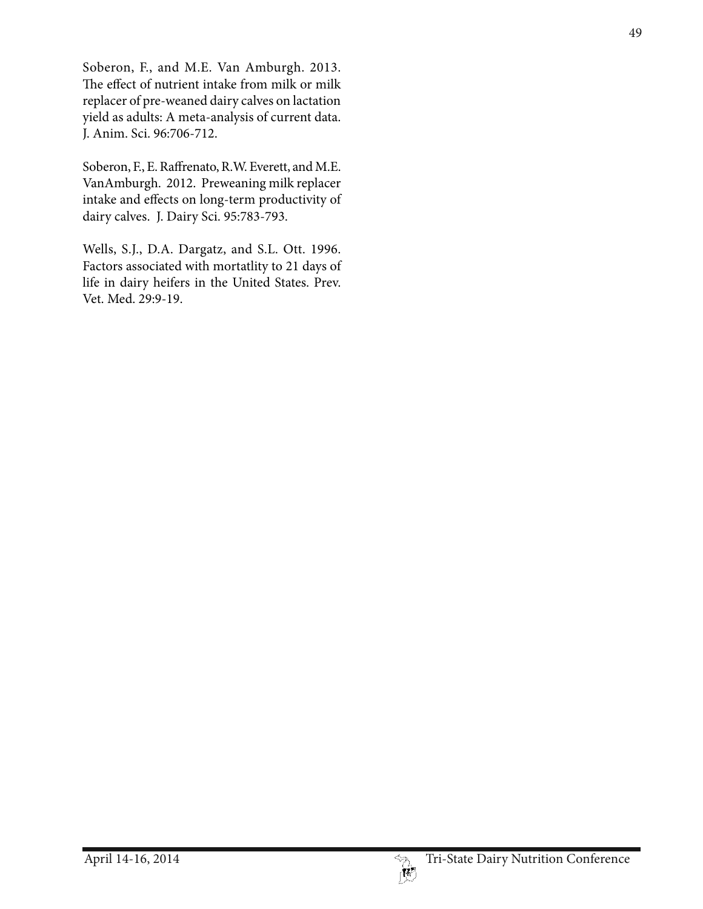Soberon, F., and M.E. Van Amburgh. 2013. The effect of nutrient intake from milk or milk replacer of pre-weaned dairy calves on lactation yield as adults: A meta-analysis of current data. J. Anim. Sci. 96:706-712.

Soberon, F., E. Raffrenato, R.W. Everett, and M.E. VanAmburgh. 2012. Preweaning milk replacer intake and effects on long-term productivity of dairy calves. J. Dairy Sci. 95:783-793.

Wells, S.J., D.A. Dargatz, and S.L. Ott. 1996. Factors associated with mortatlity to 21 days of life in dairy heifers in the United States. Prev. Vet. Med. 29:9-19.



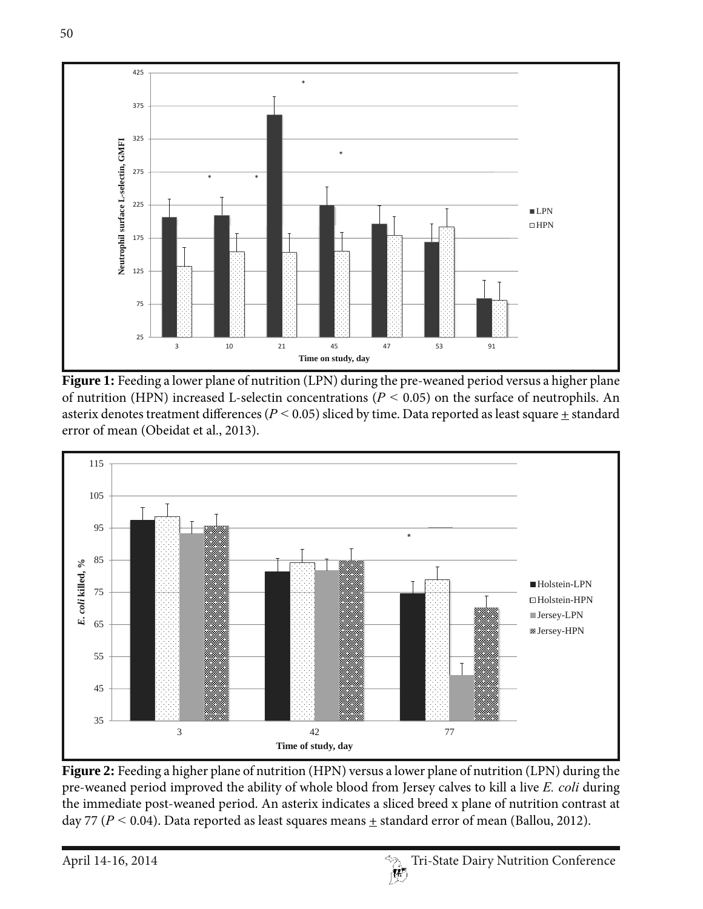

Figure 1: Feeding a lower plane of nutrition (LPN) during the pre-weaned period versus a higher plane of nutrition (HPN) increased L-selectin concentrations ( $P < 0.05$ ) on the surface of neutrophils. An asterix denotes treatment differences ( $P < 0.05$ ) sliced by time. Data reported as least square  $\pm$  standard error of mean (Obeidat et al., 2013).



Figure 2: Feeding a higher plane of nutrition (HPN) versus a lower plane of nutrition (LPN) during the pre-weaned period improved the ability of whole blood from Jersey calves to kill a live *E. coli* during the immediate post-weaned period. An asterix indicates a sliced breed x plane of nutrition contrast at day 77 ( $P < 0.04$ ). Data reported as least squares means  $\pm$  standard error of mean (Ballou, 2012).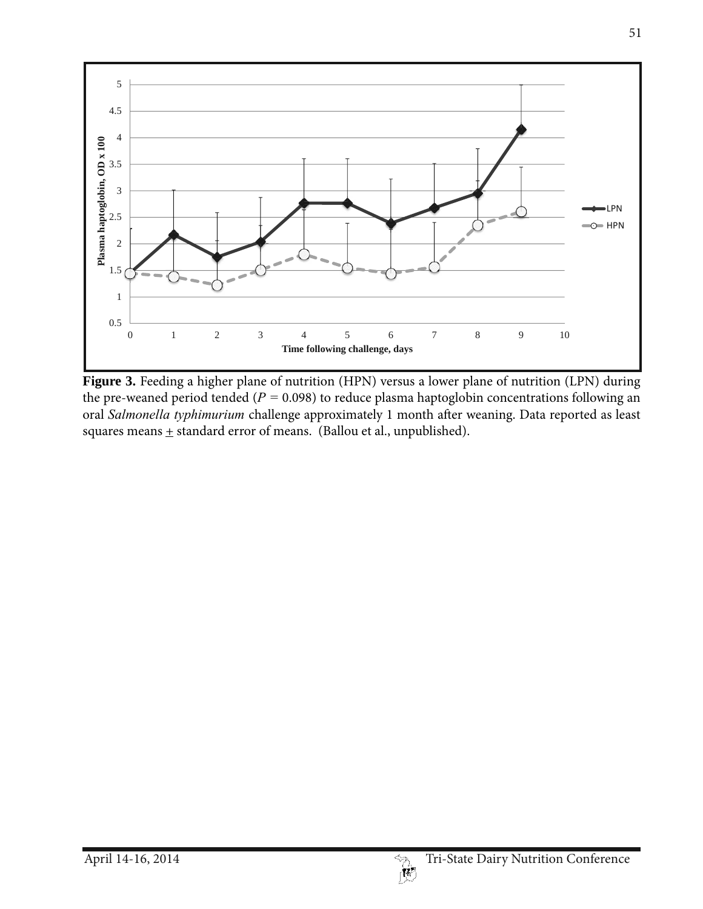

Figure 3. Feeding a higher plane of nutrition (HPN) versus a lower plane of nutrition (LPN) during the pre-weaned period tended (*P =* 0.098) to reduce plasma haptoglobin concentrations following an oral *Salmonella typhimurium* challenge approximately 1 month after weaning. Data reported as least squares means  $\pm$  standard error of means. (Ballou et al., unpublished).